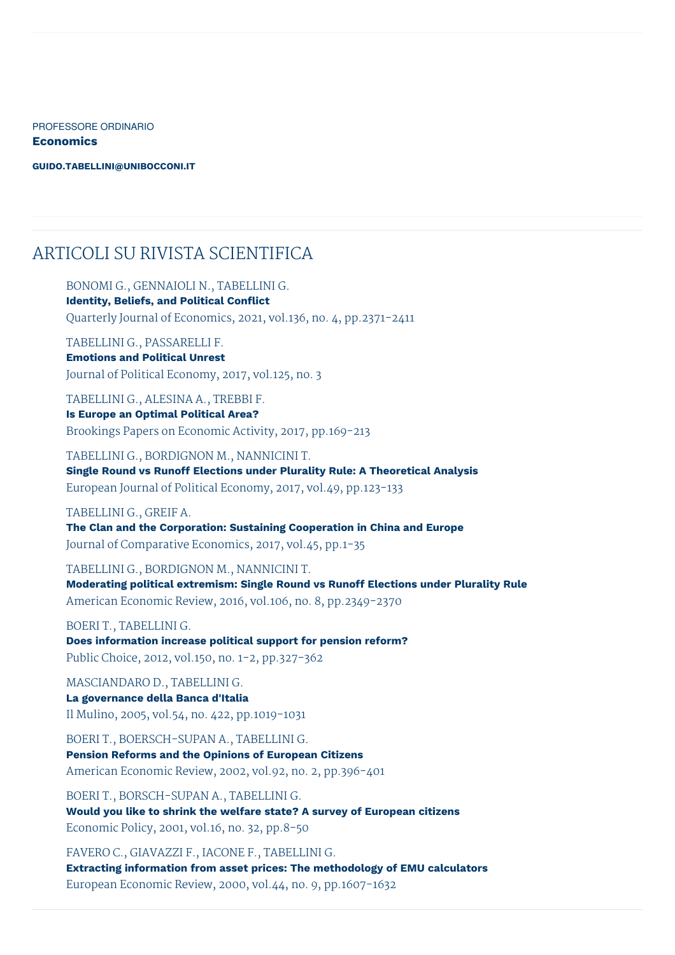PROFESSORE ORDINARIO **Economics**

**[GUIDO.TABELLINI@UNIBOCCONI.IT](mailto:guido.tabellini@unibocconi.it)**

#### ARTICOLI SU RIVISTA SCIENTIFICA

BONOMI G., GENNAIOLI N., TABELLINI G.

**Identity, Beliefs, and Political Conflict** Quarterly Journal of Economics, 2021, vol.136, no. 4, pp.2371-2411

TABELLINI G., PASSARELLI F. **Emotions and Political Unrest** Journal of Political Economy, 2017, vol.125, no. 3

TABELLINI G., ALESINA A., TREBBI F. **Is Europe an Optimal Political Area?** Brookings Papers on Economic Activity, 2017, pp.169-213

TABELLINI G., BORDIGNON M., NANNICINI T. **Single Round vs Runoff Elections under Plurality Rule: A Theoretical Analysis** European Journal of Political Economy, 2017, vol.49, pp.123-133

#### TABELLINI G., GREIF A.

**The Clan and the Corporation: Sustaining Cooperation in China and Europe** Journal of Comparative Economics, 2017, vol.45, pp.1-35

TABELLINI G., BORDIGNON M., NANNICINI T.

**Moderating political extremism: Single Round vs Runoff Elections under Plurality Rule** American Economic Review, 2016, vol.106, no. 8, pp.2349-2370

BOERI T., TABELLINI G. **Does information increase political support for pension reform?**

Public Choice, 2012, vol.150, no. 1-2, pp.327-362

MASCIANDARO D., TABELLINI G. **La governance della Banca d'Italia** Il Mulino, 2005, vol.54, no. 422, pp.1019-1031

BOERI T., BOERSCH-SUPAN A., TABELLINI G. **Pension Reforms and the Opinions of European Citizens** American Economic Review, 2002, vol.92, no. 2, pp.396-401

BOERI T., BORSCH-SUPAN A., TABELLINI G. **Would you like to shrink the welfare state? A survey of European citizens** Economic Policy, 2001, vol.16, no. 32, pp.8-50

FAVERO C., GIAVAZZI F., IACONE F., TABELLINI G. **Extracting information from asset prices: The methodology of EMU calculators** European Economic Review, 2000, vol.44, no. 9, pp.1607-1632